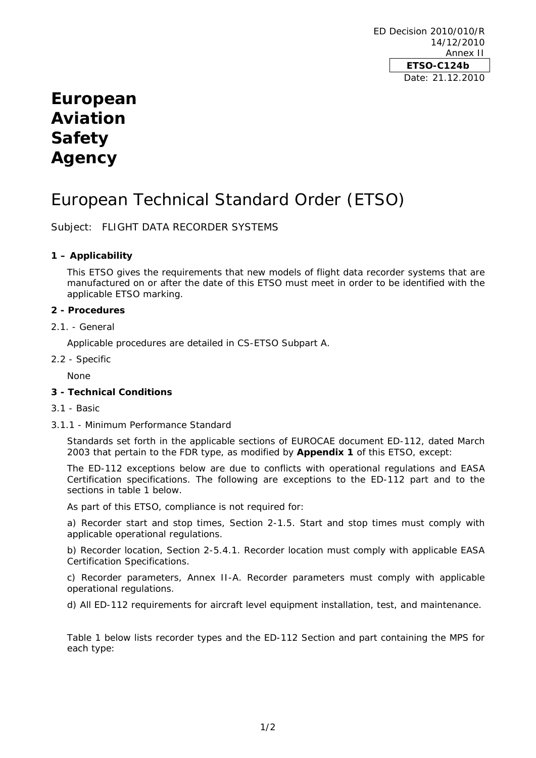ED Decision 2010/010/R 14/12/2010 Annex II **ETSO-C124b**  Date: 21.12.2010

# **European Aviation Safety Agency**

# European Technical Standard Order (ETSO)

Subject: FLIGHT DATA RECORDER SYSTEMS

# **1 – Applicability**

This ETSO gives the requirements that new models of flight data recorder systems that are manufactured on or after the date of this ETSO must meet in order to be identified with the applicable ETSO marking.

### **2 - Procedures**

2.1. - General

Applicable procedures are detailed in CS-ETSO Subpart A.

2.2 - Specific

None

# **3 - Technical Conditions**

- 3.1 Basic
- 3.1.1 Minimum Performance Standard

Standards set forth in the applicable sections of EUROCAE document ED-112, dated March 2003 that pertain to the FDR type, as modified by **Appendix 1** of this ETSO, except:

The ED-112 exceptions below are due to conflicts with operational regulations and EASA Certification specifications. The following are exceptions to the ED-112 part and to the sections in table 1 below.

As part of this ETSO, compliance is not required for:

a) *Recorder start and stop times, Section 2-1.5.* Start and stop times must comply with applicable operational regulations.

b) *Recorder location, Section 2-5.4.1.* Recorder location must comply with applicable EASA Certification Specifications.

c) *Recorder parameters, Annex II-A.* Recorder parameters must comply with applicable operational regulations.

d) *All ED-112 requirements* for aircraft level equipment installation, test, and maintenance.

Table 1 below lists recorder types and the ED-112 Section and part containing the MPS for each type: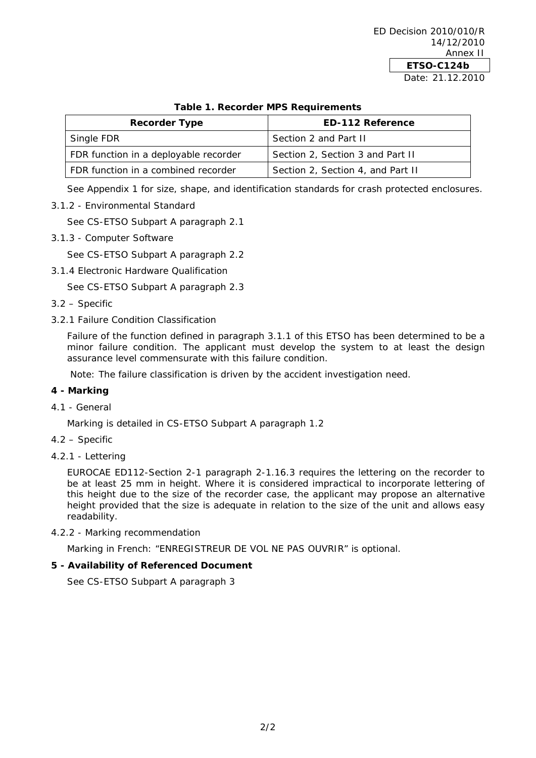| <b>Table 1. Recorder IVII 5 Requirements</b> |                                   |
|----------------------------------------------|-----------------------------------|
| <b>Recorder Type</b>                         | <b>ED-112 Reference</b>           |
| Single FDR                                   | Section 2 and Part II             |
| FDR function in a deployable recorder        | Section 2, Section 3 and Part II  |
| FDR function in a combined recorder          | Section 2, Section 4, and Part II |

# **Table 1. Recorder MPS Requirements**

See Appendix 1 for size, shape, and identification standards for crash protected enclosures.

3.1.2 - Environmental Standard

See CS-ETSO Subpart A paragraph 2.1

3.1.3 - Computer Software

See CS-ETSO Subpart A paragraph 2.2

3.1.4 Electronic Hardware Qualification

See CS-ETSO Subpart A paragraph 2.3

- 3.2 Specific
- 3.2.1 Failure Condition Classification

Failure of the function defined in paragraph 3.1.1 of this ETSO has been determined to be a minor failure condition. The applicant must develop the system to at least the design assurance level commensurate with this failure condition.

Note: The failure classification is driven by the accident investigation need.

#### **4 - Marking**

4.1 - General

Marking is detailed in CS-ETSO Subpart A paragraph 1.2

- 4.2 Specific
- 4.2.1 Lettering

EUROCAE ED112-Section 2-1 paragraph 2-1.16.3 requires the lettering on the recorder to be at least 25 mm in height. Where it is considered impractical to incorporate lettering of this height due to the size of the recorder case, the applicant may propose an alternative height provided that the size is adequate in relation to the size of the unit and allows easy readability.

4.2.2 - Marking recommendation

Marking in French: "ENREGISTREUR DE VOL NE PAS OUVRIR" is optional.

## **5 - Availability of Referenced Document**

See CS-ETSO Subpart A paragraph 3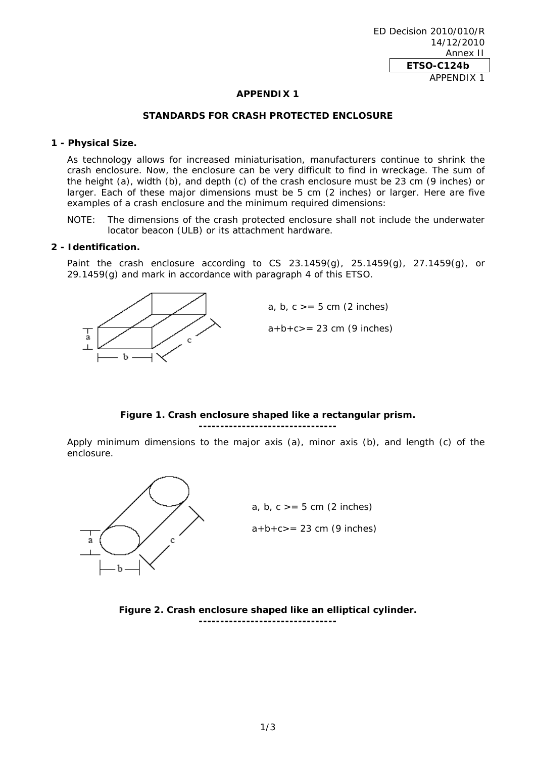#### **APPENDIX 1**

#### **STANDARDS FOR CRASH PROTECTED ENCLOSURE**

#### **1 - Physical Size.**

As technology allows for increased miniaturisation, manufacturers continue to shrink the crash enclosure. Now, the enclosure can be very difficult to find in wreckage. The sum of the height (a), width (b), and depth (c) of the crash enclosure must be 23 cm (9 inches) or larger. Each of these major dimensions must be 5 cm (2 inches) or larger. Here are five examples of a crash enclosure and the minimum required dimensions:

NOTE: The dimensions of the crash protected enclosure shall not include the underwater locator beacon (ULB) or its attachment hardware.

#### **2 - Identification.**

Paint the crash enclosure according to CS 23.1459(g),  $25.1459(g)$ ,  $27.1459(g)$ , or 29.1459(g) and mark in accordance with paragraph 4 of this ETSO.



## **Figure 1. Crash enclosure shaped like a rectangular prism.**

**--------------------------------**

Apply minimum dimensions to the major axis (a), minor axis (b), and length (c) of the enclosure.



 $a+b+c>= 23$  cm (9 inches) a, b,  $c \geq 5$  cm (2 inches)

**Figure 2. Crash enclosure shaped like an elliptical cylinder. --------------------------------**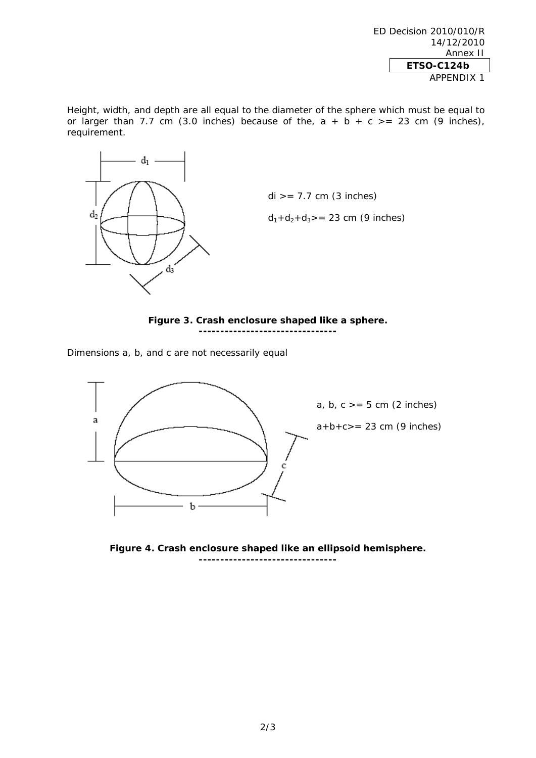ED Decision 2010/010/R 14/12/2010 Annex II **ETSO-C124b**  APPENDIX 1

Height, width, and depth are all equal to the diameter of the sphere which must be equal to or larger than 7.7 cm (3.0 inches) because of the,  $a + b + c$  >= 23 cm (9 inches), requirement.



**Figure 3. Crash enclosure shaped like a sphere. --------------------------------** 

Dimensions a, b, and c are not necessarily equal



**Figure 4. Crash enclosure shaped like an ellipsoid hemisphere. --------------------------------**